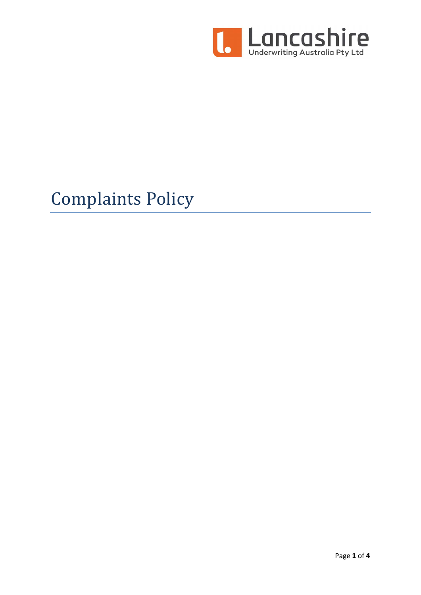

# Complaints Policy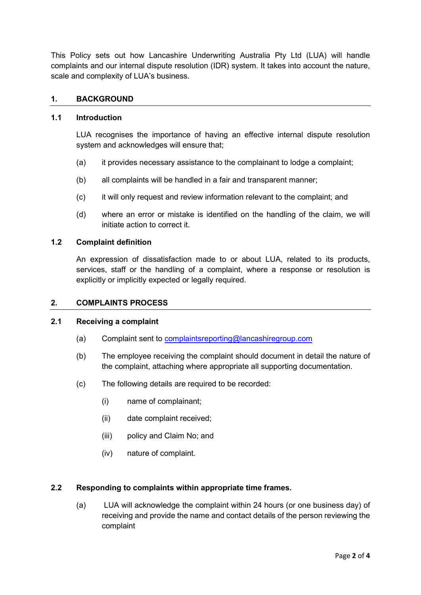This Policy sets out how Lancashire Underwriting Australia Pty Ltd (LUA) will handle complaints and our internal dispute resolution (IDR) system. It takes into account the nature, scale and complexity of LUA's business.

# 1. BACKGROUND

## 1.1 Introduction

LUA recognises the importance of having an effective internal dispute resolution system and acknowledges will ensure that;

- (a) it provides necessary assistance to the complainant to lodge a complaint;
- (b) all complaints will be handled in a fair and transparent manner;
- (c) it will only request and review information relevant to the complaint; and
- (d) where an error or mistake is identified on the handling of the claim, we will initiate action to correct it.

### 1.2 Complaint definition

An expression of dissatisfaction made to or about LUA, related to its products, services, staff or the handling of a complaint, where a response or resolution is explicitly or implicitly expected or legally required.

#### 2. COMPLAINTS PROCESS

## 2.1 Receiving a complaint

- (a) Complaint sent to complaintsreporting@lancashiregroup.com
- (b) The employee receiving the complaint should document in detail the nature of the complaint, attaching where appropriate all supporting documentation.
- (c) The following details are required to be recorded:
	- (i) name of complainant;
	- (ii) date complaint received;
	- (iii) policy and Claim No; and
	- (iv) nature of complaint.

#### 2.2 Responding to complaints within appropriate time frames.

(a) LUA will acknowledge the complaint within 24 hours (or one business day) of receiving and provide the name and contact details of the person reviewing the complaint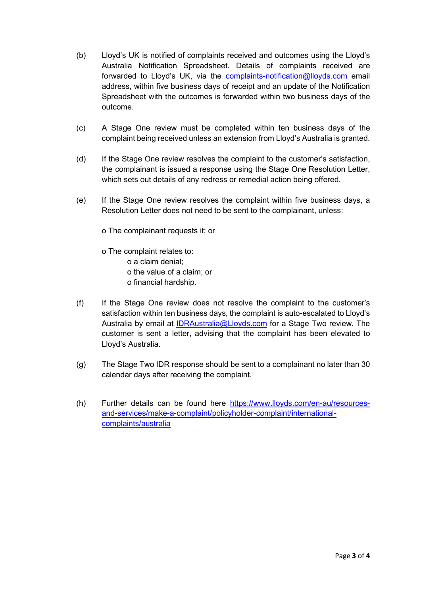- (b) Lloyd's UK is notified of complaints received and outcomes using the Lloyd's Australia Notification Spreadsheet. Details of complaints received are forwarded to Lloyd's UK, via the complaints-notification@lloyds.com email address, within five business days of receipt and an update of the Notification Spreadsheet with the outcomes is forwarded within two business days of the outcome.
- (c) A Stage One review must be completed within ten business days of the complaint being received unless an extension from Lloyd's Australia is granted.
- (d) If the Stage One review resolves the complaint to the customer's satisfaction, the complainant is issued a response using the Stage One Resolution Letter, which sets out details of any redress or remedial action being offered.
- (e) If the Stage One review resolves the complaint within five business days, a Resolution Letter does not need to be sent to the complainant, unless:
	- o The complainant requests it; or
	- o The complaint relates to: o a claim denial; o the value of a claim; or o financial hardship.
- (f) If the Stage One review does not resolve the complaint to the customer's satisfaction within ten business days, the complaint is auto-escalated to Lloyd's Australia by email at IDRAustralia@Lloyds.com for a Stage Two review. The customer is sent a letter, advising that the complaint has been elevated to Lloyd's Australia.
- (g) The Stage Two IDR response should be sent to a complainant no later than 30 calendar days after receiving the complaint.
- (h) Further details can be found here https://www.lloyds.com/en-au/resourcesand-services/make-a-complaint/policyholder-complaint/internationalcomplaints/australia